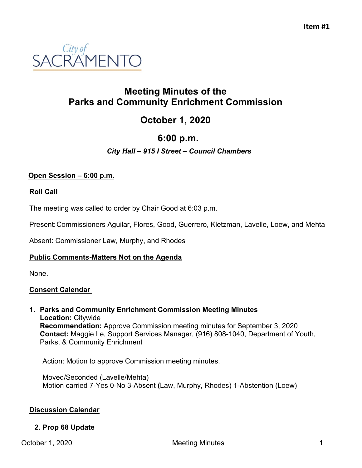

# **Meeting Minutes of the Parks and Community Enrichment Commission**

# **October 1, 2020**

# **6:00 p.m.**

## *City Hall – 915 I Street – Council Chambers*

### **Open Session – 6:00 p.m.**

#### **Roll Call**

The meeting was called to order by Chair Good at 6:03 p.m.

Present:Commissioners Aguilar, Flores, Good, Guerrero, Kletzman, Lavelle, Loew, and Mehta

Absent: Commissioner Law, Murphy, and Rhodes

#### **Public Comments-Matters Not on the Agenda**

None.

### **Consent Calendar**

**1. Parks and Community Enrichment Commission Meeting Minutes Location:** Citywide **Recommendation:** Approve Commission meeting minutes for September 3, 2020 **Contact:** Maggie Le, Support Services Manager, (916) 808-1040, Department of Youth, Parks, & Community Enrichment

Action: Motion to approve Commission meeting minutes.

Moved/Seconded (Lavelle/Mehta) Motion carried 7-Yes 0-No 3-Absent **(**Law, Murphy, Rhodes) 1-Abstention (Loew)

#### **Discussion Calendar**

#### **2. Prop 68 Update**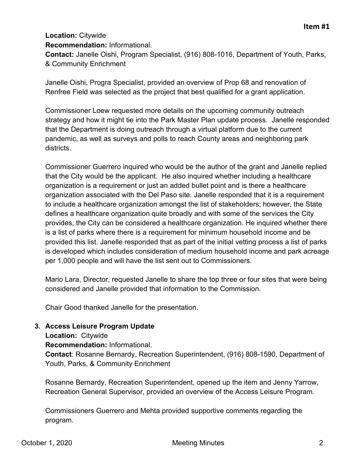# **Location:** Citywide

#### **Recommendation:** Informational.

**Contact:** Janelle Oishi, Program Specialist, (916) 808-1016, Department of Youth, Parks, & Community Enrichment

Janelle Oishi, Progra Specialist, provided an overview of Prop 68 and renovation of Renfree Field was selected as the project that best qualified for a grant application.

Commissioner Loew requested more details on the upcoming community outreach strategy and how it might tie into the Park Master Plan update process. Janelle responded that the Department is doing outreach through a virtual platform due to the current pandemic, as well as surveys and polls to reach County areas and neighboring park districts.

Commissioner Guerrero inquired who would be the author of the grant and Janelle replied that the City would be the applicant. He also inquired whether including a healthcare organization is a requirement or just an added bullet point and is there a healthcare organization associated with the Del Paso site. Janelle responded that it is a requirement to include a healthcare organization amongst the list of stakeholders; however, the State defines a healthcare organization quite broadly and with some of the services the City provides, the City can be considered a healthcare organization. He inquired whether there is a list of parks where there is a requirement for minimum household income and be provided this list. Janelle responded that as part of the initial vetting process a list of parks is developed which includes consideration of medium household income and park acreage per 1,000 people and will have the list sent out to Commissioners.

Mario Lara, Director, requested Janelle to share the top three or four sites that were being considered and Janelle provided that information to the Commission.

Chair Good thanked Janelle for the presentation.

### **3. Access Leisure Program Update**

**Location:** Citywide

**Recommendation:** Informational.

**Contact**: Rosanne Bernardy, Recreation Superintendent, (916) 808-1590, Department of Youth, Parks, & Community Enrichment

Rosanne Bernardy, Recreation Superintendent, opened up the item and Jenny Yarrow, Recreation General Supervisor, provided an overview of the Access Leisure Program.

Commissioners Guerrero and Mehta provided supportive comments regarding the program.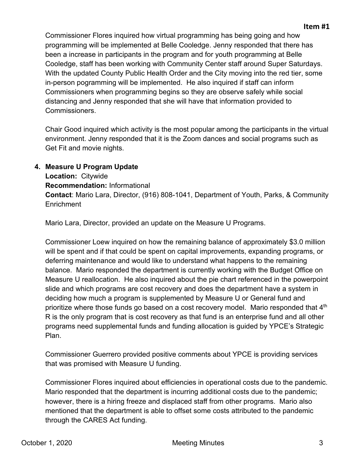Commissioner Flores inquired how virtual programming has being going and how programming will be implemented at Belle Cooledge. Jenny responded that there has been a increase in participants in the program and for youth programming at Belle Cooledge, staff has been working with Community Center staff around Super Saturdays. With the updated County Public Health Order and the City moving into the red tier, some in-person pogramming will be implemented. He also inquired if staff can inform Commissioners when programming begins so they are observe safely while social distancing and Jenny responded that she will have that information provided to Commissioners.

Chair Good inquired which activity is the most popular among the participants in the virtual environment. Jenny responded that it is the Zoom dances and social programs such as Get Fit and movie nights.

#### **4. Measure U Program Update**

**Location:** Citywide **Recommendation:** Informational **Contact**: Mario Lara, Director, (916) 808-1041, Department of Youth, Parks, & Community **Enrichment** 

Mario Lara, Director, provided an update on the Measure U Programs.

Commissioner Loew inquired on how the remaining balance of approximately \$3.0 million will be spent and if that could be spent on capital improvements, expanding programs, or deferring maintenance and would like to understand what happens to the remaining balance. Mario responded the department is currently working with the Budget Office on Measure U reallocation. He also inquired about the pie chart referenced in the powerpoint slide and which programs are cost recovery and does the department have a system in deciding how much a program is supplemented by Measure U or General fund and prioritize where those funds go based on a cost recovery model. Mario responded that  $4<sup>th</sup>$ R is the only program that is cost recovery as that fund is an enterprise fund and all other programs need supplemental funds and funding allocation is guided by YPCE's Strategic Plan.

Commissioner Guerrero provided positive comments about YPCE is providing services that was promised with Measure U funding.

Commissioner Flores inquired about efficiencies in operational costs due to the pandemic. Mario responded that the department is incurring additional costs due to the pandemic; however, there is a hiring freeze and displaced staff from other programs. Mario also mentioned that the department is able to offset some costs attributed to the pandemic through the CARES Act funding.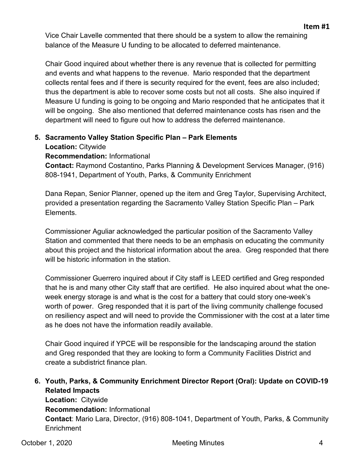Vice Chair Lavelle commented that there should be a system to allow the remaining balance of the Measure U funding to be allocated to deferred maintenance.

Chair Good inquired about whether there is any revenue that is collected for permitting and events and what happens to the revenue. Mario responded that the department collects rental fees and if there is security required for the event, fees are also included; thus the department is able to recover some costs but not all costs. She also inquired if Measure U funding is going to be ongoing and Mario responded that he anticipates that it will be ongoing. She also mentioned that deferred maintenance costs has risen and the department will need to figure out how to address the deferred maintenance.

# **5. Sacramento Valley Station Specific Plan – Park Elements**

**Location:** Citywide

## **Recommendation:** Informational

**Contact:** Raymond Costantino, Parks Planning & Development Services Manager, (916) 808-1941, Department of Youth, Parks, & Community Enrichment

Dana Repan, Senior Planner, opened up the item and Greg Taylor, Supervising Architect, provided a presentation regarding the Sacramento Valley Station Specific Plan – Park Elements.

Commissioner Aguliar acknowledged the particular position of the Sacramento Valley Station and commented that there needs to be an emphasis on educating the community about this project and the historical information about the area. Greg responded that there will be historic information in the station.

Commissioner Guerrero inquired about if City staff is LEED certified and Greg responded that he is and many other City staff that are certified. He also inquired about what the oneweek energy storage is and what is the cost for a battery that could story one-week's worth of power. Greg responded that it is part of the living community challenge focused on resiliency aspect and will need to provide the Commissioner with the cost at a later time as he does not have the information readily available.

Chair Good inquired if YPCE will be responsible for the landscaping around the station and Greg responded that they are looking to form a Community Facilities District and create a subdistrict finance plan.

# **6. Youth, Parks, & Community Enrichment Director Report (Oral): Update on COVID-19 Related Impacts**

**Location:** Citywide **Recommendation:** Informational **Contact**: Mario Lara, Director, (916) 808-1041, Department of Youth, Parks, & Community **Enrichment**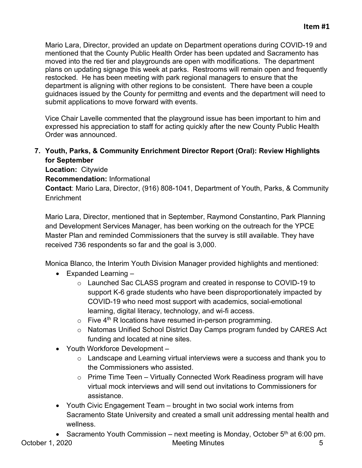Mario Lara, Director, provided an update on Department operations during COVID-19 and mentioned that the County Public Health Order has been updated and Sacramento has moved into the red tier and playgrounds are open with modifications. The department plans on updating signage this week at parks. Restrooms will remain open and frequently restocked. He has been meeting with park regional managers to ensure that the department is aligning with other regions to be consistent. There have been a couple guidnaces issued by the County for permittng and events and the department will need to submit applications to move forward with events.

Vice Chair Lavelle commented that the playground issue has been important to him and expressed his appreciation to staff for acting quickly after the new County Public Health Order was announced.

### **7. Youth, Parks, & Community Enrichment Director Report (Oral): Review Highlights for September**

**Location:** Citywide

**Recommendation:** Informational

**Contact**: Mario Lara, Director, (916) 808-1041, Department of Youth, Parks, & Community **Enrichment** 

Mario Lara, Director, mentioned that in September, Raymond Constantino, Park Planning and Development Services Manager, has been working on the outreach for the YPCE Master Plan and reminded Commissioners that the survey is still available. They have received 736 respondents so far and the goal is 3,000.

Monica Blanco, the Interim Youth Division Manager provided highlights and mentioned:

- Expanded Learning
	- o Launched Sac CLASS program and created in response to COVID-19 to support K-6 grade students who have been disproportionately impacted by COVID-19 who need most support with academics, social-emotional learning, digital literacy, technology, and wi-fi access.
	- $\circ$  Five 4<sup>th</sup> R locations have resumed in-person programming.
	- o Natomas Unified School District Day Camps program funded by CARES Act funding and located at nine sites.
- Youth Workforce Development
	- o Landscape and Learning virtual interviews were a success and thank you to the Commissioners who assisted.
	- o Prime Time Teen Virtually Connected Work Readiness program will have virtual mock interviews and will send out invitations to Commissioners for assistance.
- Youth Civic Engagement Team brought in two social work interns from Sacramento State University and created a small unit addressing mental health and wellness.

October 1, 2020 **Meeting Minutes** 5 • Sacramento Youth Commission – next meeting is Monday, October  $5<sup>th</sup>$  at 6:00 pm.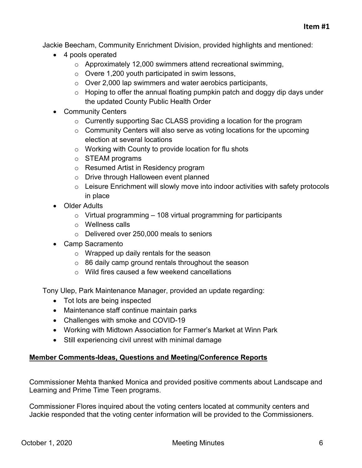Jackie Beecham, Community Enrichment Division, provided highlights and mentioned:

- 4 pools operated
	- o Approximately 12,000 swimmers attend recreational swimming,
	- o Overe 1,200 youth participated in swim lessons,
	- o Over 2,000 lap swimmers and water aerobics participants,
	- $\circ$  Hoping to offer the annual floating pumpkin patch and doggy dip days under the updated County Public Health Order
- Community Centers
	- o Currently supporting Sac CLASS providing a location for the program
	- $\circ$  Community Centers will also serve as voting locations for the upcoming election at several locations
	- o Working with County to provide location for flu shots
	- o STEAM programs
	- o Resumed Artist in Residency program
	- o Drive through Halloween event planned
	- $\circ$  Leisure Enrichment will slowly move into indoor activities with safety protocols in place
- Older Adults
	- $\circ$  Virtual programming 108 virtual programming for participants
	- o Wellness calls
	- o Delivered over 250,000 meals to seniors
- Camp Sacramento
	- o Wrapped up daily rentals for the season
	- $\circ$  86 daily camp ground rentals throughout the season
	- $\circ$  Wild fires caused a few weekend cancellations

Tony Ulep, Park Maintenance Manager, provided an update regarding:

- Tot lots are being inspected
- Maintenance staff continue maintain parks
- Challenges with smoke and COVID-19
- Working with Midtown Association for Farmer's Market at Winn Park
- Still experiencing civil unrest with minimal damage

## **Member Comments-Ideas, Questions and Meeting/Conference Reports**

Commissioner Mehta thanked Monica and provided positive comments about Landscape and Learning and Prime Time Teen programs.

Commissioner Flores inquired about the voting centers located at community centers and Jackie responded that the voting center information will be provided to the Commissioners.